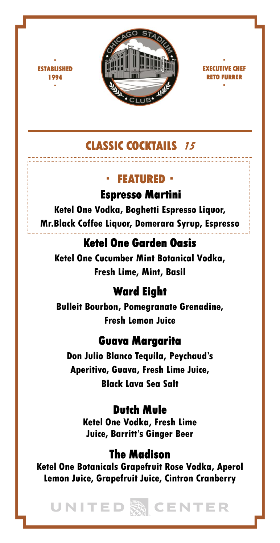

 $\blacksquare$ **ESTABLISHED 1994** ・

・ **EXECUTIVE CHEF RETO FURRER** ・

# **CLASSIC COCKTAILS <sup>15</sup>**

### ・ **FEATURED**・

**Espresso Martini**

**Ketel One Vodka, Boghetti Espresso Liquor, Mr.Black Coffee Liquor, Demerara Syrup, Espresso**

## **Ketel One Garden Oasis**

**Ketel One Cucumber Mint Botanical Vodka, Fresh Lime, Mint, Basil**

## **Ward Eight**

**Bulleit Bourbon, Pomegranate Grenadine, Fresh Lemon Juice**

## **Guava Margarita**

**Don Julio Blanco Tequila, Peychaud's Aperitivo, Guava, Fresh Lime Juice, Black Lava Sea Salt** 

## **Dutch Mule**

**Ketel One Vodka, Fresh Lime Juice, Barritt's Ginger Beer**

## **The Madison**

**Ketel One Botanicals Grapefruit Rose Vodka, Aperol Lemon Juice, Grapefruit Juice, Cintron Cranberry**

UNITED 麴 CENTER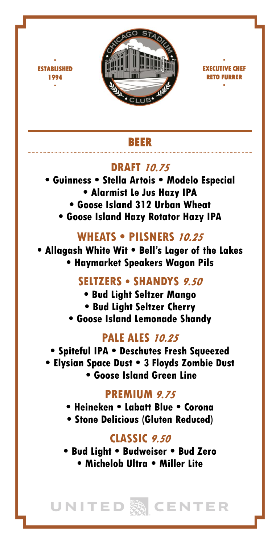

 $\blacksquare$ **ESTABLISHED 1994** ・



### **BEER**

## **DRAFT 10.75**

- **Guinness Stella Artois Modelo Especial • Alarmist Le Jus Hazy IPA • Goose Island 312 Urban Wheat**
	- **Goose Island Hazy Rotator Hazy IPA**

## **WHEATS • PILSNERS 10.25**

**• Allagash White Wit • Bell's Lager of the Lakes • Haymarket Speakers Wagon Pils**

## **SELTZERS • SHANDYS 9.50**

- **Bud Light Seltzer Mango**
- **Bud Light Seltzer Cherry**
- **Goose Island Lemonade Shandy**

### **PALE ALES 10.25**

**• Spiteful IPA • Deschutes Fresh Squeezed • Elysian Space Dust • 3 Floyds Zombie Dust • Goose Island Green Line**

## **PREMIUM 9.75**

- **Heineken Labatt Blue Corona**
- **Stone Delicious (Gluten Reduced)**

## **CLASSIC 9.50**

**• Bud Light • Budweiser • Bud Zero • Michelob Ultra • Miller Lite**

UNITED 熟 CENTER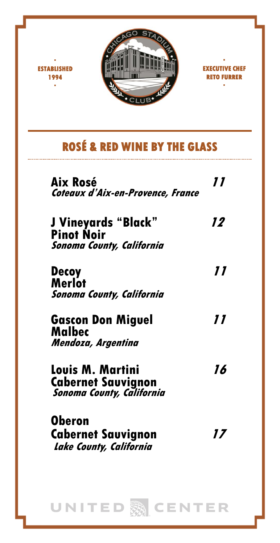

・ **ESTABLISHED 1994** ・



# **ROSÉ & RED WINE BY THE GLASS**

| Aix Rosé<br>Coteaux d'Aix-en-Provence, France                                     | 11 |
|-----------------------------------------------------------------------------------|----|
| J Vineyards "Black"<br><b>Pinot Noir</b><br><b>Sonoma County, California</b>      | 12 |
| <b>Decoy</b><br>Merlot<br><b>Sonoma County, California</b>                        | 77 |
| <b>Gascon Don Miguel</b><br>Malbec<br>Mendoza, Argentina                          | 11 |
| Louis M. Martini<br><b>Cabernet Sauvignon</b><br><b>Sonoma County, California</b> | 16 |
| Oberon<br><b>Cabernet Sauvignon</b><br>Lake County, California                    | 17 |

UNITED ACENTER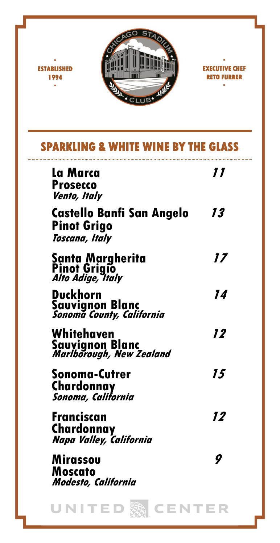

・ **ESTABLISHED 1994** ・

・ **EXECUTIVE CHEF RETO FURRER** ・

## **SPARKLING & WHITE WINE BY THE GLASS**

| La Marca<br><b>Prosecco</b><br>Vento, Italy                       | 77 |
|-------------------------------------------------------------------|----|
| <b>Castello Banfi San Angelo</b><br>Pinot Grigo<br>Toscana, Italy | 13 |
| Santa Margherita<br>Pinot Grigio<br><i>Alto Adige, Italy</i>      | 17 |
| Duckhorn<br>Sauvignon Blanc<br><i>Sonoma County, California</i>   | 14 |
| Whitehaven<br>Sauvignon Blanc<br><i>Marlborough, New Zealand</i>  | 12 |
| Sonoma-Cutrer<br>Chardonnay<br>Sonoma, California                 | 15 |
| Franciscan<br>Chardonnay<br>Napa Valley, California               | 12 |
| Mirassou<br>Moscato<br>Modesto, California                        | 9  |
| ENTER<br>UNITEI                                                   |    |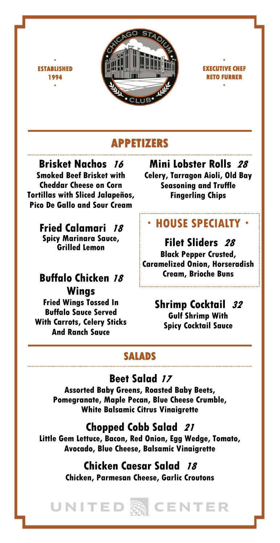

#### ・ **EXECUTIVE CHEF RETO FURRER** ・

## **APPETIZERS**

**Brisket Nachos <sup>16</sup> Smoked Beef Brisket with Cheddar Cheese on Corn Tortillas with Sliced Jalapeños, Pico De Gallo and Sour Cream**

・ **ESTABLISHED 1994** ・

**Fried Calamari <sup>18</sup> Spicy Marinara Sauce, Grilled Lemon** 

### **Buffalo Chicken <sup>18</sup> Wings**

**Fried Wings Tossed In Buffalo Sauce Served With Carrots, Celery Sticks And Ranch Sauce**

**Mini Lobster Rolls <sup>28</sup> Celery, Tarragon Aioli, Old Bay Seasoning and Truffle Fingerling Chips**

## ・**HOUSE SPECIALTY**・

### **Filet Sliders <sup>28</sup> Black Pepper Crusted, Caramelized Onion, Horseradish Cream, Brioche Buns**

### **Shrimp Cocktail <sup>32</sup> Gulf Shrimp With Spicy Cocktail Sauce**

### **SALADS**

## **Beet Salad <sup>17</sup>**

**Assorted Baby Greens, Roasted Baby Beets, Pomegranate, Maple Pecan, Blue Cheese Crumble, White Balsamic Citrus Vinaigrette** 

### **Chopped Cobb Salad <sup>21</sup>**

**Little Gem Lettuce, Bacon, Red Onion, Egg Wedge, Tomato, Avocado, Blue Cheese, Balsamic Vinaigrette**

### **Chicken Caesar Salad <sup>18</sup> Chicken, Parmesan Cheese, Garlic Croutons**

UNITED 熟 CENTER